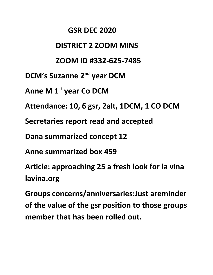## **GSR DEC 2020 DISTRICT 2 ZOOM MINS ZOOM ID #332-625-7485 DCM's Suzanne 2nd year DCM Anne M 1st year Co DCM Attendance: 10, 6 gsr, 2alt, 1DCM, 1 CO DCM Secretaries report read and accepted Dana summarized concept 12 Anne summarized box 459 Article: approaching 25 a fresh look for la vina lavina.org**

**Groups concerns/anniversaries:Just areminder of the value of the gsr position to those groups member that has been rolled out.**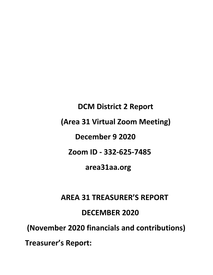**DCM District 2 Report (Area 31 Virtual Zoom Meeting) December 9 2020 Zoom ID - 332-625-7485 area31aa.org**

## **AREA 31 TREASURER'S REPORT**

 **DECEMBER 2020**

 **(November 2020 financials and contributions)**

**Treasurer's Report:**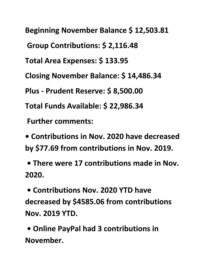**Beginning November Balance \$ 12,503.81 Group Contributions: \$ 2,116.48 Total Area Expenses: \$ 133.95 Closing November Balance: \$ 14,486.34 Plus - Prudent Reserve: \$ 8,500.00 Total Funds Available: \$ 22,986.34**

 **Further comments:** 

**• Contributions in Nov. 2020 have decreased by \$77.69 from contributions in Nov. 2019.**

 **• There were 17 contributions made in Nov. 2020.**

 **• Contributions Nov. 2020 YTD have decreased by \$4585.06 from contributions Nov. 2019 YTD.**

 **• Online PayPal had 3 contributions in November.**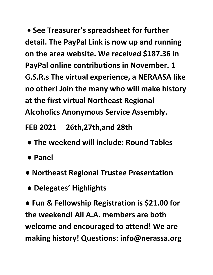**• See Treasurer's spreadsheet for further detail. The PayPal Link is now up and running on the area website. We received \$187.36 in PayPal online contributions in November. 1 G.S.R.s The virtual experience, a NERAASA like no other! Join the many who will make history at the first virtual Northeast Regional Alcoholics Anonymous Service Assembly.**

**FEB 2021 26th,27th,and 28th**

- **The weekend will include: Round Tables**
- **Panel**
- **Northeast Regional Trustee Presentation**
- **Delegates' Highlights**

● Fun & Fellowship Registration is \$21.00 for **the weekend! All A.A. members are both welcome and encouraged to attend! We are making history! Questions: info@nerassa.org**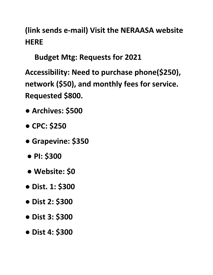**(link sends e-mail) Visit the NERAASA website HERE** 

 **Budget Mtg: Requests for 2021** 

**Accessibility: Need to purchase phone(\$250), network (\$50), and monthly fees for service. Requested \$800.** 

- **Archives: \$500**
- **CPC: \$250**
- **Grapevine: \$350**
- **PI: \$300**
- **Website: \$0**
- **Dist. 1: \$300**
- **Dist 2: \$300**
- **Dist 3: \$300**
- **Dist 4: \$300**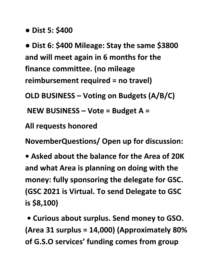## **● Dist 5: \$400**

**● Dist 6: \$400 Mileage: Stay the same \$3800 and will meet again in 6 months for the finance committee. (no mileage reimbursement required = no travel)** 

**OLD BUSINESS – Voting on Budgets (A/B/C)**

 **NEW BUSINESS – Vote = Budget A =** 

**All requests honored** 

**NovemberQuestions/ Open up for discussion:** 

**• Asked about the balance for the Area of 20K and what Area is planning on doing with the money: fully sponsoring the delegate for GSC. (GSC 2021 is Virtual. To send Delegate to GSC is \$8,100)**

 **• Curious about surplus. Send money to GSO. (Area 31 surplus = 14,000) (Approximately 80% of G.S.O services' funding comes from group**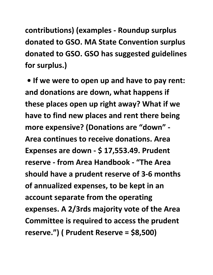**contributions) (examples - Roundup surplus donated to GSO. MA State Convention surplus donated to GSO. GSO has suggested guidelines for surplus.)**

 **• If we were to open up and have to pay rent: and donations are down, what happens if these places open up right away? What if we have to find new places and rent there being more expensive? (Donations are "down" - Area continues to receive donations. Area Expenses are down - \$ 17,553.49. Prudent reserve - from Area Handbook - "The Area should have a prudent reserve of 3-6 months of annualized expenses, to be kept in an account separate from the operating expenses. A 2/3rds majority vote of the Area Committee is required to access the prudent reserve.") ( Prudent Reserve = \$8,500)**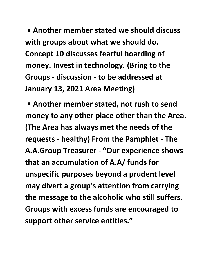**• Another member stated we should discuss with groups about what we should do. Concept 10 discusses fearful hoarding of money. Invest in technology. (Bring to the Groups - discussion - to be addressed at January 13, 2021 Area Meeting)**

 **• Another member stated, not rush to send money to any other place other than the Area. (The Area has always met the needs of the requests - healthy) From the Pamphlet - The A.A.Group Treasurer - "Our experience shows that an accumulation of A.A/ funds for unspecific purposes beyond a prudent level may divert a group's attention from carrying the message to the alcoholic who still suffers. Groups with excess funds are encouraged to support other service entities."**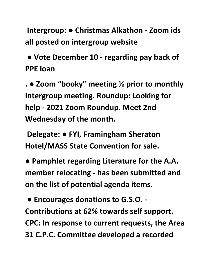**Intergroup: ● Christmas Alkathon - Zoom ids all posted on intergroup website**

 **● Vote December 10 - regarding pay back of PPE loan**

**. ● Zoom "booky" meeting ½ prior to monthly Intergroup meeting. Roundup: Looking for help - 2021 Zoom Roundup. Meet 2nd Wednesday of the month.**

 **Delegate: ● FYI, Framingham Sheraton Hotel/MASS State Convention for sale.** 

**● Pamphlet regarding Literature for the A.A. member relocating - has been submitted and on the list of potential agenda items.**

 **● Encourages donations to G.S.O. - Contributions at 62% towards self support. CPC: In response to current requests, the Area 31 C.P.C. Committee developed a recorded**